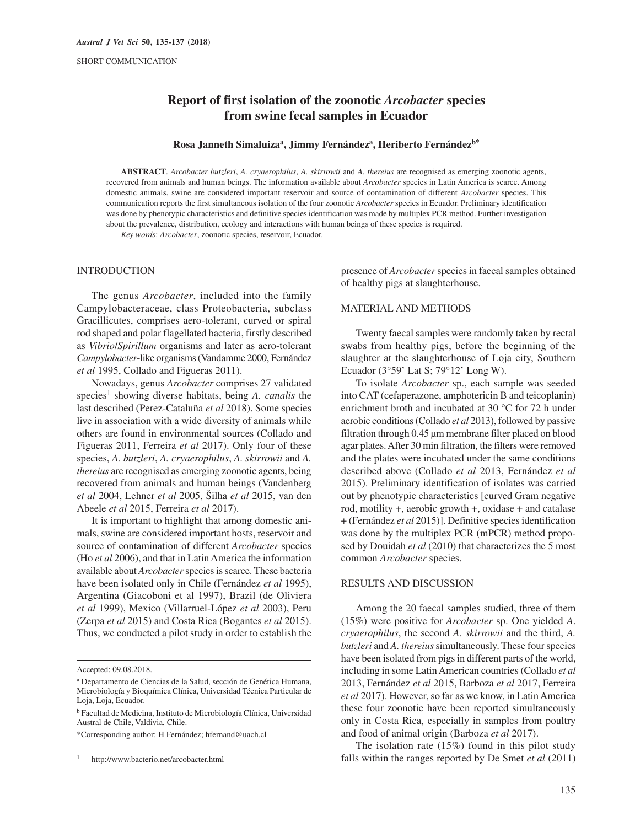# **Report of first isolation of the zoonotic** *Arcobacter* **species from swine fecal samples in Ecuador**

## **Rosa Janneth Simaluizaa, Jimmy Fernándeza, Heriberto Fernándezb\***

**ABSTRACT**. *Arcobacter butzleri*, *A. cryaerophilus*, *A. skirrowii* and *A. thereius* are recognised as emerging zoonotic agents, recovered from animals and human beings. The information available about *Arcobacter* species in Latin America is scarce. Among domestic animals, swine are considered important reservoir and source of contamination of different *Arcobacter* species. This communication reports the first simultaneous isolation of the four zoonotic *Arcobacter* species in Ecuador. Preliminary identification was done by phenotypic characteristics and definitive species identification was made by multiplex PCR method. Further investigation about the prevalence, distribution, ecology and interactions with human beings of these species is required.

*Key words*: *Arcobacter*, zoonotic species, reservoir, Ecuador.

### INTRODUCTION

The genus *Arcobacter*, included into the family Campylobacteraceae, class Proteobacteria, subclass Gracillicutes, comprises aero-tolerant, curved or spiral rod shaped and polar flagellated bacteria, firstly described as *Vibrio*/*Spirillum* organisms and later as aero-tolerant *Campylobacter*-like organisms (Vandamme 2000, Fernández *et al* 1995, Collado and Figueras 2011).

Nowadays, genus *Arcobacter* comprises 27 validated species<sup>1</sup> showing diverse habitats, being *A. canalis* the last described (Perez-Cataluña *et al* 2018). Some species live in association with a wide diversity of animals while others are found in environmental sources (Collado and Figueras 2011, Ferreira *et al* 2017). Only four of these species, *A. butzleri*, *A. cryaerophilus*, *A. skirrowii* and *A. thereius* are recognised as emerging zoonotic agents, being recovered from animals and human beings (Vandenberg *et al* 2004, Lehner *et al* 2005, Šilha *et al* 2015, van den Abeele *et al* 2015, Ferreira *et al* 2017).

It is important to highlight that among domestic animals, swine are considered important hosts, reservoir and source of contamination of different *Arcobacter* species (Ho *et al* 2006), and that in Latin America the information available about *Arcobacter* species is scarce. These bacteria have been isolated only in Chile (Fernández *et al* 1995), Argentina (Giacoboni et al 1997), Brazil (de Oliviera *et al* 1999), Mexico (Villarruel-López *et al* 2003), Peru (Zerpa *et al* 2015) and Costa Rica (Bogantes *et al* 2015). Thus, we conducted a pilot study in order to establish the presence of *Arcobacter* species in faecal samples obtained of healthy pigs at slaughterhouse.

#### MATERIAL AND METHODS

Twenty faecal samples were randomly taken by rectal swabs from healthy pigs, before the beginning of the slaughter at the slaughterhouse of Loja city, Southern Ecuador (3°59' Lat S; 79°12' Long W).

To isolate *Arcobacter* sp., each sample was seeded into CAT (cefaperazone, amphotericin B and teicoplanin) enrichment broth and incubated at 30 °C for 72 h under aerobic conditions (Collado *et al* 2013), followed by passive filtration through 0.45 μm membrane filter placed on blood agar plates. After 30 min filtration, the filters were removed and the plates were incubated under the same conditions described above (Collado *et al* 2013, Fernández *et al* 2015). Preliminary identification of isolates was carried out by phenotypic characteristics [curved Gram negative rod, motility +, aerobic growth +, oxidase + and catalase + (Fernández *et al* 2015)]. Definitive species identification was done by the multiplex PCR (mPCR) method proposed by Douidah *et al* (2010) that characterizes the 5 most common *Arcobacter* species.

# RESULTS AND DISCUSSION

Among the 20 faecal samples studied, three of them (15%) were positive for *Arcobacter* sp. One yielded *A*. *cryaerophilus*, the second *A. skirrowii* and the third, *A. butzleri* and *A. thereius* simultaneously. These four species have been isolated from pigs in different parts of the world, including in some Latin American countries (Collado *et al* 2013, Fernández *et al* 2015, Barboza *et al* 2017, Ferreira *et al* 2017). However, so far as we know, in Latin America these four zoonotic have been reported simultaneously only in Costa Rica, especially in samples from poultry and food of animal origin (Barboza *et al* 2017).

The isolation rate (15%) found in this pilot study falls within the ranges reported by De Smet *et al* (2011)

Accepted: 09.08.2018.

a Departamento de Ciencias de la Salud, sección de Genética Humana, Microbiología y Bioquímica Clínica, Universidad Técnica Particular de Loja, Loja, Ecuador.

b Facultad de Medicina, Instituto de Microbiología Clínica, Universidad Austral de Chile, Valdivia, Chile.

<sup>\*</sup>Corresponding author: H Fernández; hfernand@uach.cl

http://www.bacterio.net/arcobacter.html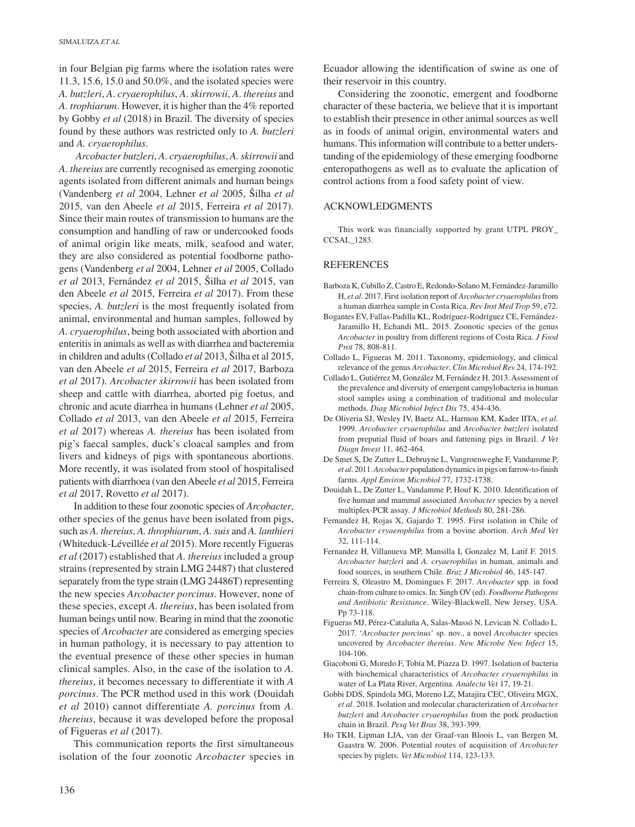in four Belgian pig farms where the isolation rates were 11.3, 15.6, 15.0 and 50.0%, and the isolated species were *A. butzleri*, *A*. *cryaerophilus*, *A*. *skirrowii*, *A*. *thereius* and *A. trophiarum*. However, it is higher than the 4% reported by Gobby *et al* (2018) in Brazil. The diversity of species found by these authors was restricted only to *A. butzleri* and *A. cryaerophilus*.

*Arcobacter butzleri*, *A*. *cryaerophilus*, *A. skirrowii* and *A. thereius* are currently recognised as emerging zoonotic agents isolated from different animals and human beings (Vandenberg *et al* 2004, Lehner *et al* 2005, Šilha *et al* 2015, van den Abeele *et al* 2015, Ferreira *et al* 2017). Since their main routes of transmission to humans are the consumption and handling of raw or undercooked foods of animal origin like meats, milk, seafood and water, they are also considered as potential foodborne pathogens (Vandenberg *et al* 2004, Lehner *et al* 2005, Collado *et al* 2013, Fernández *et al* 2015, Šilha *et al* 2015, van den Abeele *et al* 2015, Ferreira *et al* 2017). From these species, *A. butzleri* is the most frequently isolated from animal, environmental and human samples, followed by *A. cryaerophilus*, being both associated with abortion and enteritis in animals as well as with diarrhea and bacteremia in children and adults (Collado *et al* 2013, Šilha et al 2015, van den Abeele *et al* 2015, Ferreira *et al* 2017, Barboza *et al* 2017). *Arcobacter skirrowii* has been isolated from sheep and cattle with diarrhea, aborted pig foetus, and chronic and acute diarrhea in humans (Lehner *et al* 2005, Collado *et al* 2013, van den Abeele *et al* 2015, Ferreira *et al* 2017) whereas *A. thereius* has been isolated from pig's faecal samples, duck's cloacal samples and from livers and kidneys of pigs with spontaneous abortions. More recently, it was isolated from stool of hospitalised patients with diarrhoea (van den Abeele *et al* 2015, Ferreira *et al* 2017, Rovetto *et al* 2017).

In addition to these four zoonotic species of *Arcobacter*, other species of the genus have been isolated from pigs, such as *A. thereius*, *A. throphiarum*, *A. suis* and *A. lanthieri* (Whiteduck-Léveillée *et al* 2015). More recently Figueras *et al* (2017) established that *A. thereius* included a group strains (represented by strain LMG 24487) that clustered separately from the type strain (LMG 24486T) representing the new species *Arcobacter porcinus*. However, none of these species, except *A. thereius*, has been isolated from human beings until now. Bearing in mind that the zoonotic species of *Arcobacter* are considered as emerging species in human pathology, it is necessary to pay attention to the eventual presence of these other species in human clinical samples. Also, in the case of the isolation to *A. thereius*, it becomes necessary to differentiate it with *A porcinus*. The PCR method used in this work (Douidah *et al* 2010) cannot differentiate *A. porcinus* from *A. thereius*, because it was developed before the proposal of Figueras *et al* (2017).

This communication reports the first simultaneous isolation of the four zoonotic *Arcobacter* species in Ecuador allowing the identification of swine as one of their reservoir in this country.

Considering the zoonotic, emergent and foodborne character of these bacteria, we believe that it is important to establish their presence in other animal sources as well as in foods of animal origin, environmental waters and humans. This information will contribute to a better understanding of the epidemiology of these emerging foodborne enteropathogens as well as to evaluate the aplication of control actions from a food safety point of view.

### ACKNOWLEDGMENTS

This work was financially supported by grant UTPL PROY\_ CCSAL\_1283.

### **REFERENCES**

- Barboza K, Cubillo Z, Castro E, Redondo-Solano M, Fernández-Jaramillo H, *et al*. 2017. First isolation report of *Arcobacter cryaerophilus* from a human diarrhea sample in Costa Rica. *Rev Inst Med Trop* 59, e72.
- Bogantes EV, Fallas-Padilla KL, Rodríguez-Rodríguez CE, Fernández-Jaramillo H, Echandi ML. 2015. Zoonotic species of the genus *Arcobacter* in poultry from different regions of Costa Rica. *J Food Prot* 78, 808-811.
- Collado L, Figueras M. 2011. Taxonomy, epidemiology, and clinical relevance of the genus *Arcobacter*. *Clin Microbiol Rev* 24, 174-192.
- Collado L, Gutiérrez M, González M, Fernández H. 2013. Assessment of the prevalence and diversity of emergent campylobacteria in human stool samples using a combination of traditional and molecular methods. *Diag Microbiol Infect Dis* 75, 434-436.
- De Oliveria SJ, Wesley IV, Baetz AL, Harmon KM, Kader IITA, *et al*. 1999. *Arcobacter cryaerophilus* and *Arcobacter butzleri* isolated from preputial fluid of boars and fattening pigs in Brazil. *J Vet Diagn Invest* 11, 462-464.
- De Smet S, De Zutter L, Debruyne L, Vangroenweghe F, Vandamme P, *et al*. 2011. *Arcobacter* population dynamics in pigs on farrow-to-finish farms. *Appl Environ Microbiol* 77, 1732-1738.
- Douidah L, De Zutter L, Vandamme P, Houf K. 2010. Identification of five human and mammal associated *Arcobacter* species by a novel multiplex-PCR assay. *J Microbiol Methods* 80, 281-286.
- Fernandez H, Rojas X, Gajardo T. 1995. First isolation in Chile of *Arcobacter cryaerophilus* from a bovine abortion. *Arch Med Vet* 32, 111-114.
- Fernandez H, Villanueva MP, Mansilla I, Gonzalez M, Latif F. 2015. *Arcobacter butzleri* and *A. cryaerophilus* in human, animals and food sources, in southern Chile. *Braz J Microbiol* 46, 145-147.
- Ferreira S, Oleastro M, Domingues F. 2017. *Arcobacter* spp. in food chain-from culture to omics. In: Singh OV (ed). *Foodborne Pathogens and Antibiotic Resistance*. Wiley-Blackwell, New Jersey, USA. Pp 73-118.
- Figueras MJ, Pérez-Cataluña A, Salas-Massó N, Levican N. Collado L. 2017. '*Arcobacter porcinus*' sp. nov., a novel *Arcobacter* species uncovered by *Arcobacter thereius*. *New Microbe New Infect* 15, 104-106.
- Giacoboni G, Moredo F, Tobía M, Piazza D. 1997. Isolation of bacteria with biochemical characteristics of *Arcobacter cryaerophilus* in water of La Plata River, Argentina. *Analecta Vet* 17, 19-21.
- Gobbi DDS, Spindola MG, Moreno LZ, Matajira CEC, Oliveira MGX, *et al*. 2018. Isolation and molecular characterization of *Arcobacter butzleri* and *Arcobacter cryaerophilus* from the pork production chain in Brazil. *Pesq Vet Bras* 38, 393-399.
- Ho TKH, Lipman LJA, van der Graaf-van Bloois L, van Bergen M, Gaastra W. 2006. Potential routes of acquisition of *Arcobacter* species by piglets. *Vet Microbiol* 114, 123-133.